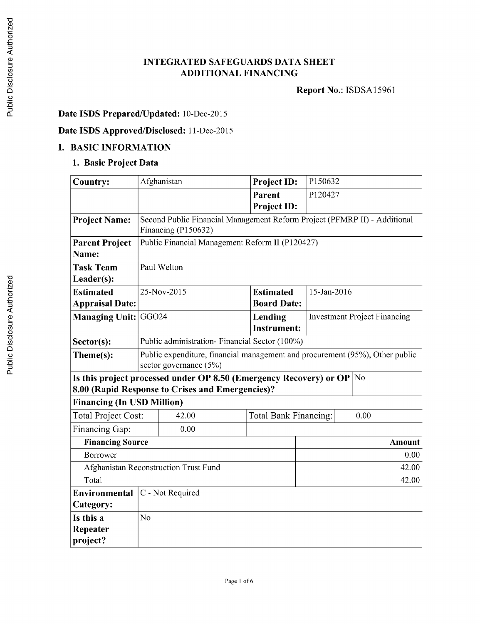## **INTEGRATED SAFEGUARDS DATA SHEET ADDITIONAL FINANCING**

**Report** No.: **ISDSA15961**

## **Date ISDS Prepared/Updated:** 10-Dec-2015

## **Date ISDS Approved/Disclosed:** 11-Dec-2015

#### **I. BASIC INFORMATION**

### **1. Basic Project Data**

| <b>Country:</b>                                                                      |                                                                              | Afghanistan                                      | Project ID:           |             | P150632                             |  |  |
|--------------------------------------------------------------------------------------|------------------------------------------------------------------------------|--------------------------------------------------|-----------------------|-------------|-------------------------------------|--|--|
|                                                                                      |                                                                              |                                                  | Parent                | P120427     |                                     |  |  |
|                                                                                      |                                                                              |                                                  | <b>Project ID:</b>    |             |                                     |  |  |
| <b>Project Name:</b>                                                                 | Second Public Financial Management Reform Project (PFMRP II) - Additional    |                                                  |                       |             |                                     |  |  |
|                                                                                      | Financing (P150632)                                                          |                                                  |                       |             |                                     |  |  |
| <b>Parent Project</b>                                                                | Public Financial Management Reform II (P120427)                              |                                                  |                       |             |                                     |  |  |
| Name:                                                                                |                                                                              |                                                  |                       |             |                                     |  |  |
| <b>Task Team</b>                                                                     | Paul Welton                                                                  |                                                  |                       |             |                                     |  |  |
| Leader(s):                                                                           |                                                                              |                                                  |                       |             |                                     |  |  |
| <b>Estimated</b>                                                                     |                                                                              | 25-Nov-2015                                      | <b>Estimated</b>      | 15-Jan-2016 |                                     |  |  |
| <b>Appraisal Date:</b>                                                               |                                                                              |                                                  | <b>Board Date:</b>    |             |                                     |  |  |
| Managing Unit:                                                                       | GGO <sub>24</sub>                                                            |                                                  | Lending               |             | <b>Investment Project Financing</b> |  |  |
|                                                                                      |                                                                              |                                                  | <b>Instrument:</b>    |             |                                     |  |  |
| Sector(s):                                                                           | Public administration- Financial Sector (100%)                               |                                                  |                       |             |                                     |  |  |
| Theme(s):                                                                            | Public expenditure, financial management and procurement (95%), Other public |                                                  |                       |             |                                     |  |  |
|                                                                                      | sector governance (5%)                                                       |                                                  |                       |             |                                     |  |  |
| Is this project processed under OP 8.50 (Emergency Recovery) or OP<br>N <sub>o</sub> |                                                                              |                                                  |                       |             |                                     |  |  |
|                                                                                      |                                                                              | 8.00 (Rapid Response to Crises and Emergencies)? |                       |             |                                     |  |  |
| <b>Financing (In USD Million)</b>                                                    |                                                                              |                                                  |                       |             |                                     |  |  |
| <b>Total Project Cost:</b>                                                           |                                                                              | 42.00                                            | Total Bank Financing: | 0.00        |                                     |  |  |
| Financing Gap:                                                                       |                                                                              | 0.00                                             |                       |             |                                     |  |  |
| <b>Financing Source</b>                                                              |                                                                              |                                                  |                       |             | <b>Amount</b>                       |  |  |
| Borrower                                                                             | 0.00                                                                         |                                                  |                       |             |                                     |  |  |
| Afghanistan Reconstruction Trust Fund<br>42.00                                       |                                                                              |                                                  |                       |             |                                     |  |  |
| Total                                                                                | 42.00                                                                        |                                                  |                       |             |                                     |  |  |
| Environmental                                                                        | C - Not Required                                                             |                                                  |                       |             |                                     |  |  |
| Category:                                                                            |                                                                              |                                                  |                       |             |                                     |  |  |
| Is this a                                                                            | N <sub>0</sub>                                                               |                                                  |                       |             |                                     |  |  |
| Repeater                                                                             |                                                                              |                                                  |                       |             |                                     |  |  |
| project?                                                                             |                                                                              |                                                  |                       |             |                                     |  |  |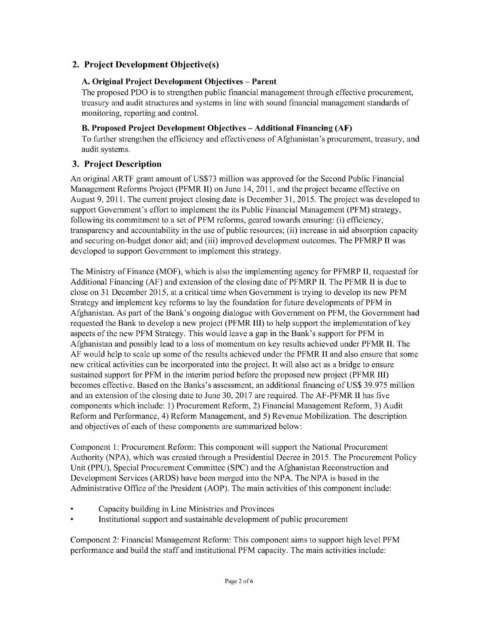# **2. Project Development Objective(s)**

### **A. Original Project Development Objectives - Parent**

**The proposed PDO is to strengthen public** financial management through effective procurement, treasury and audit structures and systems in line with sound financial management standards of monitoring, reporting and control.

### B. **Proposed Project Development Objectives - Additional Financing (AF)**

To further strengthen the efficiency and effectiveness of Afghanistan's procurement, treasury, and audit systems.

## **3. Project Description**

An original ARTF grant amount of **US\$73** million was approved for the Second Public Financial Management Reforms Project (PFMR **II)** on June 14, **2011,** and the project became effective on August **9, 2011.** The current project closing date is December **31, 2015.** The project was developed to support Government's effort to implement the its Public Financial Management (PFM) strategy, following its commitment to a set of PFM reforms, geared towards ensuring: (i) efficiency, transparency and accountability in the use of public resources; (ii) increase in aid absorption capacity and securing on-budget donor aid; and (iii) improved development outcomes. The PFMRP II was developed to support Government to implement this strategy.

The Ministry of Finance (MOF), which is also the implementing agency for PFMRP **II,** requested for Additional Financing **(AF)** and extension of the closing date of PFMRP **II.** The PFMR II is due to close on **31** December **2015,** at a critical time when Government is trying to develop its new PFM Strategy and implement key reforms to lay the foundation for future developments of PFM in Afghanistan. As part of the Bank's ongoing dialogue with Government on PFM, the Government had requested the Bank to develop a new project (PFMR III) to help support the implementation of key aspects of the new PFM Strategy. This would leave a gap in the Bank's support for PFM in Afghanistan and possibly lead to a loss of momentum on key results achieved under PFMR **II.** The **AF** would help to scale up some of the results achieved under the PFMR II and also ensure that some new critical activities can be incorporated into the project. It will also act as a bridge to ensure sustained support for PFM in the interim period before the proposed new project (PFMR III) becomes effective. Based on the Banks's assessment, an additional financing of **US\$** *39.975* million and an extension of the closing date to June **30, 2017** are required. The AF-PFMR II has five components which include: **1)** Procurement Reform, 2) Financial Management Reform, **3)** Audit Reform and Performance, 4) Reform Management, and *5)* Revenue Mobilization. The description and objectives of each of these components are summarized below:

Component **1:** Procurement Reform: This component will support the National Procurement Authority **(NPA),** which was created through a Presidential Decree in **2015.** The Procurement Policy Unit **(PPU),** Special Procurement Committee **(SPC)** and the Afghanistan Reconstruction and Development Services (ARDS) have been merged into the **NPA.** The **NPA** is based in the Administrative Office of the President (AOP). The main activities of this component include:

- Capacity building in Line Ministries and Provinces
- Institutional support and sustainable development of public procurement

Component 2: Financial Management Reform: This component aims to support high level PFM performance and build the staff and institutional PFM capacity. The main activities include: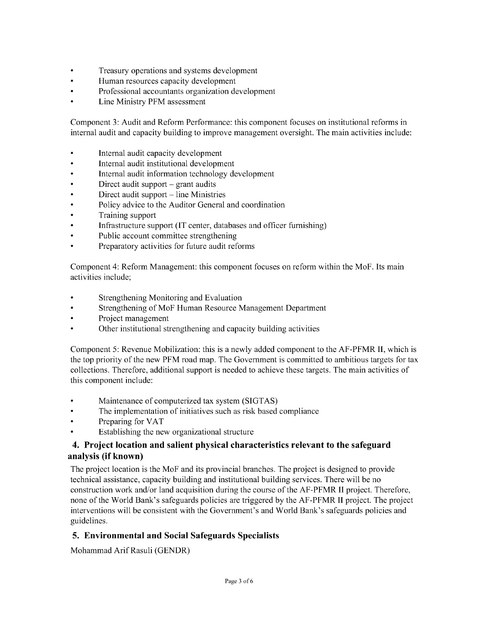- \* Treasury operations and systems development
- \* Human resources capacity development
- \* Professional accountants organization development
- \* Line Ministry PFM assessment

Component **3:** Audit and Reform Performance: this component focuses on institutional reforms in internal audit and capacity building to improve management oversight. The main activities include:

- Internal audit capacity development
- \* Internal audit institutional development
- \* Internal audit information technology development
- \* Direct audit support **-** grant audits
- \* Direct audit support **-** line Ministries
- Policy advice to the Auditor General and coordination
- Training support
- Infrastructure support (IT center, databases and officer furnishing)
- \* Public account committee strengthening
- \* Preparatory activities for future audit reforms

Component 4: Reform Management: this component focuses on reform within the MoF. Its main activities include;

- \* Strengthening Monitoring and Evaluation
- \* Strengthening of MoF Human Resource Management Department
- \* Project management
- \* Other institutional strengthening and capacity building activities

Component **5:** Revenue Mobilization: this is a newly added component to the AF-PFMR **II,** which is the top priority of the new PFM road map. The Government is committed to ambitious targets for tax collections. Therefore, additional support is needed to achieve these targets. The main activities of this component include:

- \* Maintenance of computerized tax system **(SIGTAS)**
- The implementation of initiatives such as risk based compliance
- \* Preparing for VAT
- Establishing the new organizational structure

### **4. Project location and salient physical characteristics relevant to the safeguard analysis (if known)**

The project location is the MoF and its provincial branches. The project is designed to provide technical assistance, capacity building and institutional building services. There will be no construction work and/or land acquisition during the course of the AF-PFMR II project. Therefore, none of the World Bank's safeguards policies are triggered **by** the AF-PFMR II project. The project interventions will be consistent with the Government's and World Bank's safeguards policies and guidelines.

#### **5. Environmental and Social Safeguards Specialists**

Mohammad Arif Rasuli **(GENDR)**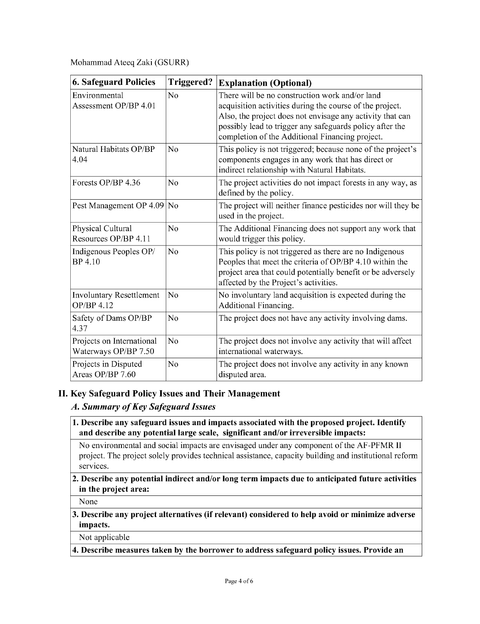#### Mohammad Ateeq Zaki (GSURR)

| <b>6. Safeguard Policies</b>                      | <b>Triggered?</b> | <b>Explanation (Optional)</b>                                                                                                                                                                                                                                                          |
|---------------------------------------------------|-------------------|----------------------------------------------------------------------------------------------------------------------------------------------------------------------------------------------------------------------------------------------------------------------------------------|
| Environmental<br>Assessment OP/BP 4.01            | N <sub>0</sub>    | There will be no construction work and/or land<br>acquisition activities during the course of the project.<br>Also, the project does not envisage any activity that can<br>possibly lead to trigger any safeguards policy after the<br>completion of the Additional Financing project. |
| Natural Habitats OP/BP<br>4.04                    | N <sub>o</sub>    | This policy is not triggered; because none of the project's<br>components engages in any work that has direct or<br>indirect relationship with Natural Habitats.                                                                                                                       |
| Forests OP/BP 4.36                                | N <sub>o</sub>    | The project activities do not impact forests in any way, as<br>defined by the policy.                                                                                                                                                                                                  |
| Pest Management OP 4.09                           | N <sub>o</sub>    | The project will neither finance pesticides nor will they be<br>used in the project.                                                                                                                                                                                                   |
| Physical Cultural<br>Resources OP/BP 4.11         | N <sub>0</sub>    | The Additional Financing does not support any work that<br>would trigger this policy.                                                                                                                                                                                                  |
| Indigenous Peoples OP/<br>BP 4.10                 | N <sub>0</sub>    | This policy is not triggered as there are no Indigenous<br>Peoples that meet the criteria of OP/BP 4.10 within the<br>project area that could potentially benefit or be adversely<br>affected by the Project's activities.                                                             |
| <b>Involuntary Resettlement</b><br>OP/BP 4.12     | No                | No involuntary land acquisition is expected during the<br>Additional Financing.                                                                                                                                                                                                        |
| Safety of Dams OP/BP<br>4.37                      | No                | The project does not have any activity involving dams.                                                                                                                                                                                                                                 |
| Projects on International<br>Waterways OP/BP 7.50 | No                | The project does not involve any activity that will affect<br>international waterways.                                                                                                                                                                                                 |
| Projects in Disputed<br>Areas OP/BP 7.60          | N <sub>o</sub>    | The project does not involve any activity in any known<br>disputed area.                                                                                                                                                                                                               |

## **II. Key Safeguard Policy Issues and Their Management**

## *A. Summary of Key Safeguard Issues*

**1. Describe any safeguard issues and impacts associated with the proposed project. Identify and describe any potential large scale, significant and/or irreversible impacts:**

No environmental and social impacts are envisaged under any component of the AF-PFMR II project. The project solely provides technical assistance, capacity building and institutional reform services.

#### 2. **Describe any potential indirect and/or long term impacts due to anticipated future activities in the project area:**

None

### **3. Describe any project alternatives (if relevant) considered to help avoid or minimize adverse impacts.**

### Not applicable

**4. Describe measures taken by the borrower to address safeguard policy issues. Provide an**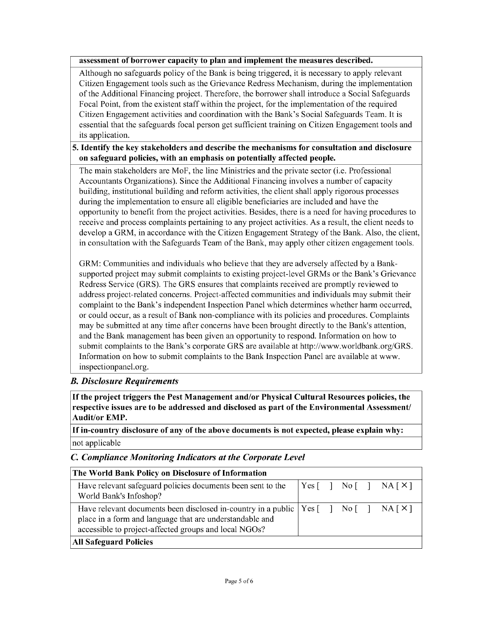#### **assessment of borrower capacity to plan and implement the measures described.**

Although no safeguards policy of the Bank is being triggered, it is necessary to apply relevant Citizen Engagement tools such as the Grievance Redress Mechanism, during the implementation of the Additional Financing project. Therefore, the borrower shall introduce a Social Safeguards Focal Point, from the existent staff within the project, for the implementation of the required Citizen Engagement activities and coordination with the Bank's Social Safeguards Team. It is essential that the safeguards focal person get sufficient training on Citizen Engagement tools and its application.

#### *5.* **Identify the** key **stakeholders and describe the mechanisms for consultation and disclosure on safeguard policies, with an emphasis on potentially affected people.**

The main stakeholders are MoF, the line Ministries and the private sector (i.e. Professional Accountants Organizations). Since the Additional Financing involves a number of capacity building, institutional building and reform activities, the client shall apply rigorous processes during the implementation to ensure all eligible beneficiaries are included and have the opportunity to benefit from the project activities. Besides, there is a need for having procedures to receive and process complaints pertaining to any project activities. As a result, the client needs to develop a GRM, in accordance with the Citizen Engagement Strategy of the Bank. Also, the client, in consultation with the Safeguards Team of the Bank, may apply other citizen engagement tools.

GRM: Communities and individuals who believe that they are adversely affected **by** a Banksupported project may submit complaints to existing project-level GRMs or the Bank's Grievance Redress Service (GRS). The GRS ensures that complaints received are promptly reviewed to address project-related concerns. Project-affected communities and individuals may submit their complaint to the Bank's independent Inspection Panel which determines whether harm occurred, or could occur, as a result of Bank non-compliance with its policies and procedures. Complaints may be submitted at any time after concerns have been brought directly to the Bank's attention, and the Bank management has been given an opportunity to respond. Information on how to submit complaints to the Bank's corporate GRS are available at http://www.worldbank.org/GRS. Information on how to submit complaints to the Bank Inspection Panel are available at www. inspectionpanel.org.

## *B. Disclosure Requirements*

**If the project triggers the Pest Management and/or Physical Cultural Resources policies, the respective issues are to be addressed and disclosed as part of the Environmental Assessment/ Audit/or EMP.**

**If in-country disclosure of any of the above documents is not expected, please explain why:** not applicable

#### *C Compliance Monitoring Indicators at the Corporate Level*

| The World Bank Policy on Disclosure of Information                                                                                                                                                                                                                                                             |  |  |  |  |                                                                                                                                                                 |  |
|----------------------------------------------------------------------------------------------------------------------------------------------------------------------------------------------------------------------------------------------------------------------------------------------------------------|--|--|--|--|-----------------------------------------------------------------------------------------------------------------------------------------------------------------|--|
| Have relevant safeguard policies documents been sent to the<br>World Bank's Infoshop?                                                                                                                                                                                                                          |  |  |  |  | $\begin{bmatrix} \text{Yes} \\ \text{Yes} \end{bmatrix}$ No $\begin{bmatrix} \\ \text{No} \\ \text{No} \end{bmatrix}$ NA $\begin{bmatrix} \times \end{bmatrix}$ |  |
| Have relevant documents been disclosed in-country in a public $\begin{bmatrix} \text{Yes} \\ \text{Yes} \end{bmatrix}$ No $\begin{bmatrix} \\ \text{INA} \\ \text{Neatrix} \end{bmatrix}$<br>place in a form and language that are understandable and<br>accessible to project-affected groups and local NGOs? |  |  |  |  |                                                                                                                                                                 |  |
| <b>All Safeguard Policies</b>                                                                                                                                                                                                                                                                                  |  |  |  |  |                                                                                                                                                                 |  |